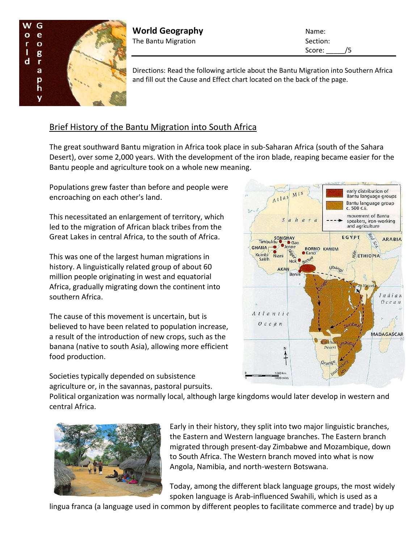

**World Geography** Name: The Bantu Migration Section:

Score: /5

Directions: Read the following article about the Bantu Migration into Southern Africa and fill out the Cause and Effect chart located on the back of the page.

## Brief History of the Bantu Migration into South Africa

The great southward Bantu migration in Africa took place in sub-Saharan Africa (south of the Sahara Desert), over some 2,000 years. With the development of the iron blade, reaping became easier for the Bantu people and agriculture took on a whole new meaning.

Populations grew faster than before and people were encroaching on each other's land.

This necessitated an enlargement of territory, which led to the migration of African black tribes from the Great Lakes in central Africa, to the south of Africa.

This was one of the largest human migrations in history. A linguistically related group of about 60 million people originating in west and equatorial Africa, gradually migrating down the continent into southern Africa.

The cause of this movement is uncertain, but is believed to have been related to population increase, a result of the introduction of new crops, such as the banana (native to south Asia), allowing more efficient food production.

Societies typically depended on subsistence agriculture or, in the savannas, pastoral pursuits.

early distribution of  $M<sup>t</sup>$ Bantu language groups Atlas Bantu language group c. 500 C.E. movement of Bantu S ahara speakers, iron-working and agriculture EGYPT SONGHAY **ARABIA**  $\bullet$  Gao  $\mathcal{L}$ ·Jenne **GHANA**  $\bullet$ **BORNO KANEM** Niger Kumbi<br>Saleh Niani **ETHIOPIA** Nok<sup>o</sup> ubangi AKAM **Ben** Indian O c e a n Atlantic  $0$  c e a n **MADAGASCAR** alaha Desert N

Political organization was normally local, although large kingdoms would later develop in western and central Africa.



Early in their history, they split into two major linguistic branches, the Eastern and Western language branches. The Eastern branch migrated through present-day Zimbabwe and Mozambique, down to South Africa. The Western branch moved into what is now Angola, Namibia, and north-western Botswana.

Today, among the different black language groups, the most widely spoken language is Arab-influenced Swahili, which is used as a

lingua franca (a language used in common by different peoples to facilitate commerce and trade) by up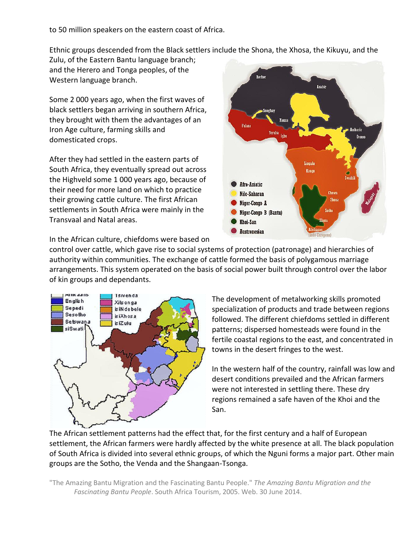to 50 million speakers on the eastern coast of Africa.

Ethnic groups descended from the Black settlers include the Shona, the Xhosa, the Kikuyu, and the

Zulu, of the Eastern Bantu language branch; and the Herero and Tonga peoples, of the Western language branch.

Some 2 000 years ago, when the first waves of black settlers began arriving in southern Africa, they brought with them the advantages of an Iron Age culture, farming skills and domesticated crops.

After they had settled in the eastern parts of South Africa, they eventually spread out across the Highveld some 1 000 years ago, because of their need for more land on which to practice their growing cattle culture. The first African settlements in South Africa were mainly in the Transvaal and Natal areas.



In the African culture, chiefdoms were based on

control over cattle, which gave rise to social systems of protection (patronage) and hierarchies of authority within communities. The exchange of cattle formed the basis of polygamous marriage arrangements. This system operated on the basis of social power built through control over the labor of kin groups and dependants.



The development of metalworking skills promoted specialization of products and trade between regions followed. The different chiefdoms settled in different patterns; dispersed homesteads were found in the fertile coastal regions to the east, and concentrated in towns in the desert fringes to the west.

In the western half of the country, rainfall was low and desert conditions prevailed and the African farmers were not interested in settling there. These dry regions remained a safe haven of the Khoi and the San.

The African settlement patterns had the effect that, for the first century and a half of European settlement, the African farmers were hardly affected by the white presence at all. The black population of South Africa is divided into several ethnic groups, of which the Nguni forms a major part. Other main groups are the Sotho, the Venda and the Shangaan-Tsonga.

"The Amazing Bantu Migration and the Fascinating Bantu People." *The Amazing Bantu Migration and the Fascinating Bantu People*. South Africa Tourism, 2005. Web. 30 June 2014.